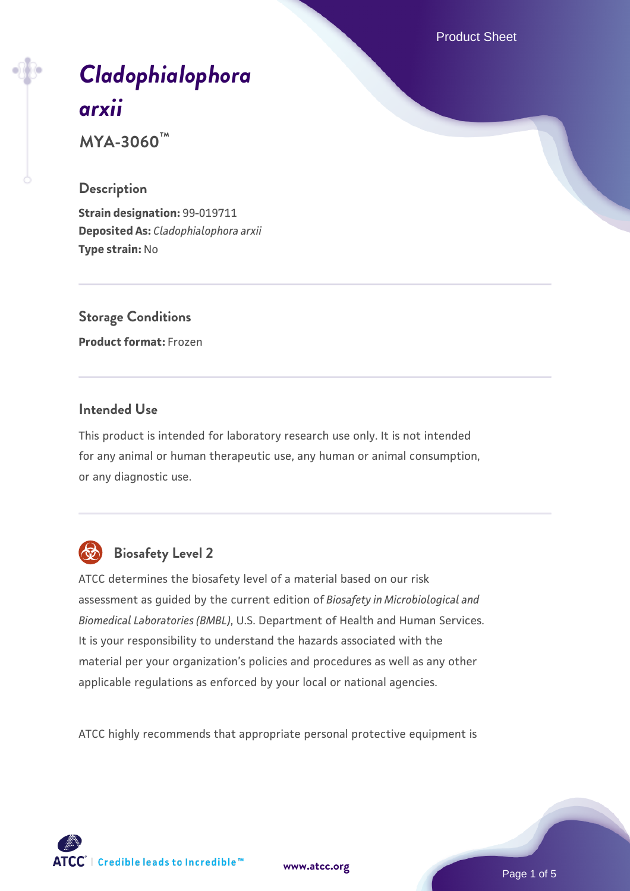Product Sheet

# *[Cladophialophora](https://www.atcc.org/products/mya-3060) [arxii](https://www.atcc.org/products/mya-3060)*

**MYA-3060™**

#### **Description**

**Strain designation:** 99-019711 **Deposited As:** *Cladophialophora arxii* **Type strain:** No

**Storage Conditions Product format:** Frozen

#### **Intended Use**

This product is intended for laboratory research use only. It is not intended for any animal or human therapeutic use, any human or animal consumption, or any diagnostic use.



## **Biosafety Level 2**

ATCC determines the biosafety level of a material based on our risk assessment as guided by the current edition of *Biosafety in Microbiological and Biomedical Laboratories (BMBL)*, U.S. Department of Health and Human Services. It is your responsibility to understand the hazards associated with the material per your organization's policies and procedures as well as any other applicable regulations as enforced by your local or national agencies.

ATCC highly recommends that appropriate personal protective equipment is

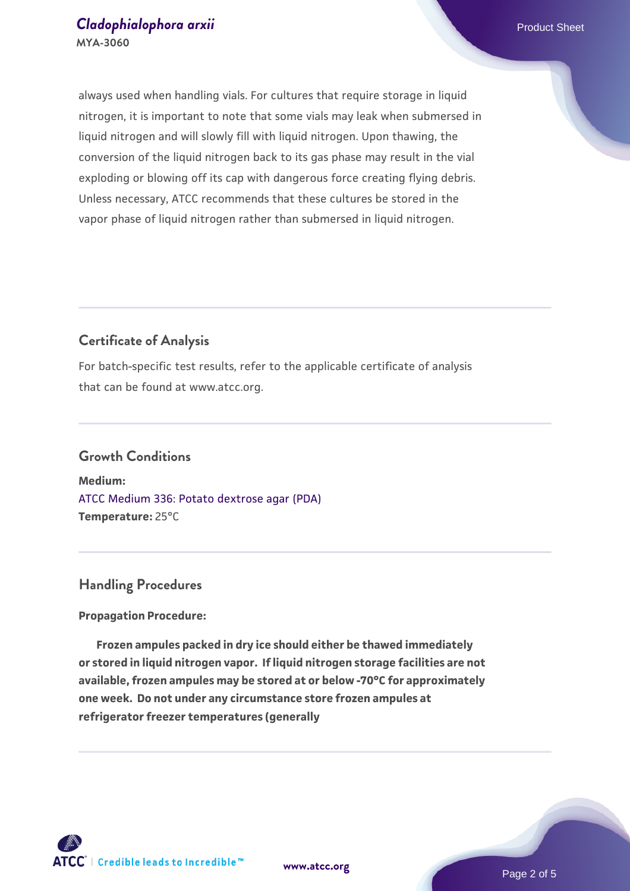always used when handling vials. For cultures that require storage in liquid nitrogen, it is important to note that some vials may leak when submersed in liquid nitrogen and will slowly fill with liquid nitrogen. Upon thawing, the conversion of the liquid nitrogen back to its gas phase may result in the vial exploding or blowing off its cap with dangerous force creating flying debris. Unless necessary, ATCC recommends that these cultures be stored in the vapor phase of liquid nitrogen rather than submersed in liquid nitrogen.

#### **Certificate of Analysis**

For batch-specific test results, refer to the applicable certificate of analysis that can be found at www.atcc.org.

#### **Growth Conditions**

**Medium:**  [ATCC Medium 336: Potato dextrose agar \(PDA\)](https://www.atcc.org/-/media/product-assets/documents/microbial-media-formulations/3/3/6/atcc-medium-336.pdf?rev=d9160ad44d934cd8b65175461abbf3b9) **Temperature:** 25°C

#### **Handling Procedures**

#### **Propagation Procedure:**

 **Frozen ampules packed in dry ice should either be thawed immediately or stored in liquid nitrogen vapor. If liquid nitrogen storage facilities are not available, frozen ampules may be stored at or below -70°C for approximately one week. Do not under any circumstance store frozen ampules at refrigerator freezer temperatures (generally** 

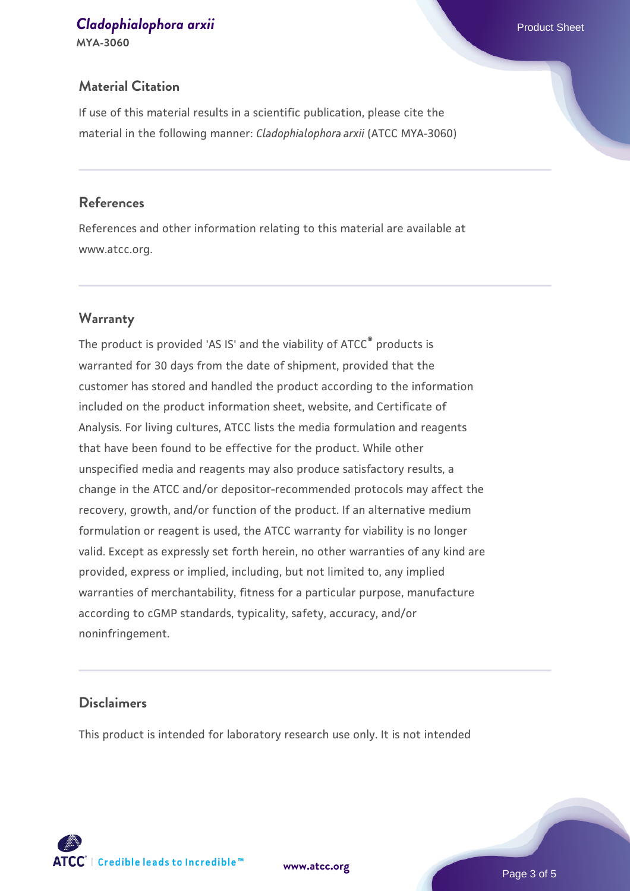## **[Cladophialophora arxii](https://www.atcc.org/products/mya-3060) Cladophialophora arxii** Product Sheet

**MYA-3060**

If use of this material results in a scientific publication, please cite the material in the following manner: *Cladophialophora arxii* (ATCC MYA-3060)

#### **References**

References and other information relating to this material are available at www.atcc.org.

#### **Warranty**

The product is provided 'AS IS' and the viability of ATCC® products is warranted for 30 days from the date of shipment, provided that the customer has stored and handled the product according to the information included on the product information sheet, website, and Certificate of Analysis. For living cultures, ATCC lists the media formulation and reagents that have been found to be effective for the product. While other unspecified media and reagents may also produce satisfactory results, a change in the ATCC and/or depositor-recommended protocols may affect the recovery, growth, and/or function of the product. If an alternative medium formulation or reagent is used, the ATCC warranty for viability is no longer valid. Except as expressly set forth herein, no other warranties of any kind are provided, express or implied, including, but not limited to, any implied warranties of merchantability, fitness for a particular purpose, manufacture according to cGMP standards, typicality, safety, accuracy, and/or noninfringement.

#### **Disclaimers**

This product is intended for laboratory research use only. It is not intended

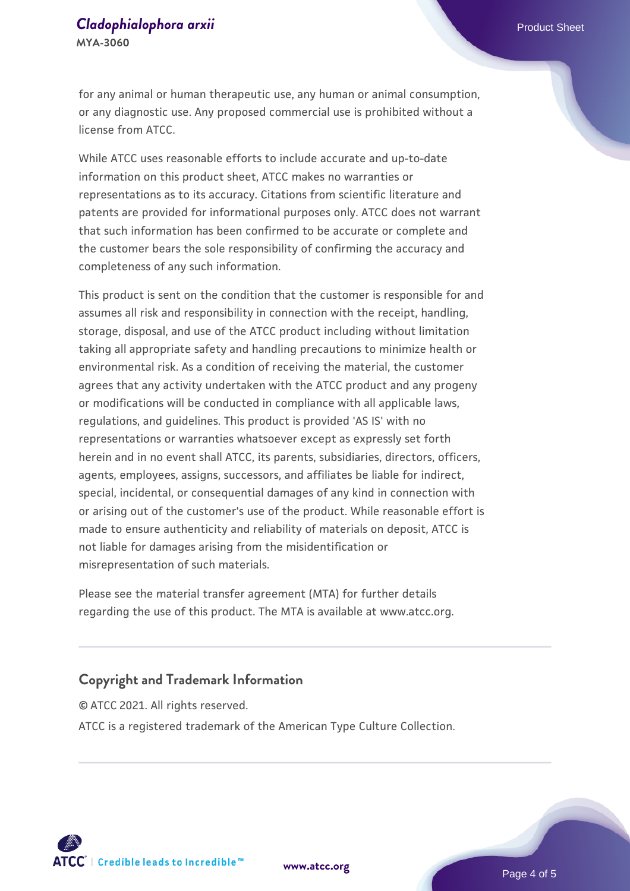#### **[Cladophialophora arxii](https://www.atcc.org/products/mya-3060) Cladophialophora arxii** Product Sheet **MYA-3060**

for any animal or human therapeutic use, any human or animal consumption, or any diagnostic use. Any proposed commercial use is prohibited without a license from ATCC.

While ATCC uses reasonable efforts to include accurate and up-to-date information on this product sheet, ATCC makes no warranties or representations as to its accuracy. Citations from scientific literature and patents are provided for informational purposes only. ATCC does not warrant that such information has been confirmed to be accurate or complete and the customer bears the sole responsibility of confirming the accuracy and completeness of any such information.

This product is sent on the condition that the customer is responsible for and assumes all risk and responsibility in connection with the receipt, handling, storage, disposal, and use of the ATCC product including without limitation taking all appropriate safety and handling precautions to minimize health or environmental risk. As a condition of receiving the material, the customer agrees that any activity undertaken with the ATCC product and any progeny or modifications will be conducted in compliance with all applicable laws, regulations, and guidelines. This product is provided 'AS IS' with no representations or warranties whatsoever except as expressly set forth herein and in no event shall ATCC, its parents, subsidiaries, directors, officers, agents, employees, assigns, successors, and affiliates be liable for indirect, special, incidental, or consequential damages of any kind in connection with or arising out of the customer's use of the product. While reasonable effort is made to ensure authenticity and reliability of materials on deposit, ATCC is not liable for damages arising from the misidentification or misrepresentation of such materials.

Please see the material transfer agreement (MTA) for further details regarding the use of this product. The MTA is available at www.atcc.org.

#### **Copyright and Trademark Information**

© ATCC 2021. All rights reserved. ATCC is a registered trademark of the American Type Culture Collection.



**[www.atcc.org](http://www.atcc.org)**

Page 4 of 5